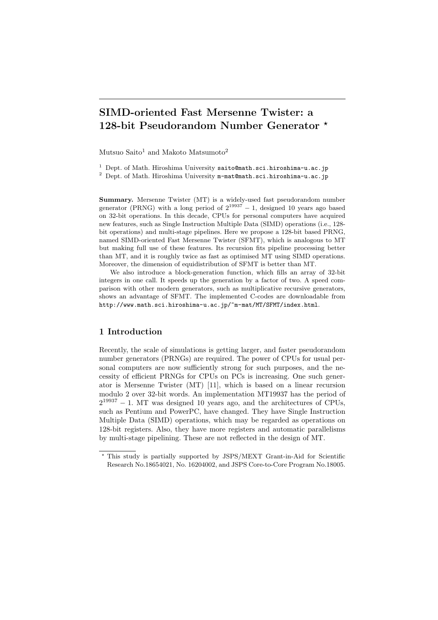# SIMD-oriented Fast Mersenne Twister: a 128-bit Pseudorandom Number Generator \*

Mutsuo Saito<sup>1</sup> and Makoto Matsumoto<sup>2</sup>

<sup>1</sup> Dept. of Math. Hiroshima University saito@math.sci.hiroshima-u.ac.jp

<sup>2</sup> Dept. of Math. Hiroshima University  $m$ -mat@math.sci.hiroshima-u.ac.jp

Summary. Mersenne Twister (MT) is a widely-used fast pseudorandom number generator (PRNG) with a long period of  $2^{19937} - 1$ , designed 10 years ago based on 32-bit operations. In this decade, CPUs for personal computers have acquired new features, such as Single Instruction Multiple Data (SIMD) operations (i.e., 128 bit operations) and multi-stage pipelines. Here we propose a 128-bit based PRNG, named SIMD-oriented Fast Mersenne Twister (SFMT), which is analogous to MT but making full use of these features. Its recursion fits pipeline processing better than MT, and it is roughly twice as fast as optimised MT using SIMD operations. Moreover, the dimension of equidistribution of SFMT is better than MT.

We also introduce a block-generation function, which fills an array of 32-bit integers in one call. It speeds up the generation by a factor of two. A speed comparison with other modern generators, such as multiplicative recursive generators, shows an advantage of SFMT. The implemented C-codes are downloadable from http://www.math.sci.hiroshima-u.ac.jp/~m-mat/MT/SFMT/index.html.

# 1 Introduction

Recently, the scale of simulations is getting larger, and faster pseudorandom number generators (PRNGs) are required. The power of CPUs for usual personal computers are now sufficiently strong for such purposes, and the necessity of efficient PRNGs for CPUs on PCs is increasing. One such generator is Mersenne Twister (MT) [11], which is based on a linear recursion modulo 2 over 32-bit words. An implementation MT19937 has the period of  $2^{19937} - 1$ . MT was designed 10 years ago, and the architectures of CPUs, such as Pentium and PowerPC, have changed. They have Single Instruction Multiple Data (SIMD) operations, which may be regarded as operations on 128-bit registers. Also, they have more registers and automatic parallelisms by multi-stage pipelining. These are not reflected in the design of MT.

<sup>?</sup> This study is partially supported by JSPS/MEXT Grant-in-Aid for Scientific Research No.18654021, No. 16204002, and JSPS Core-to-Core Program No.18005.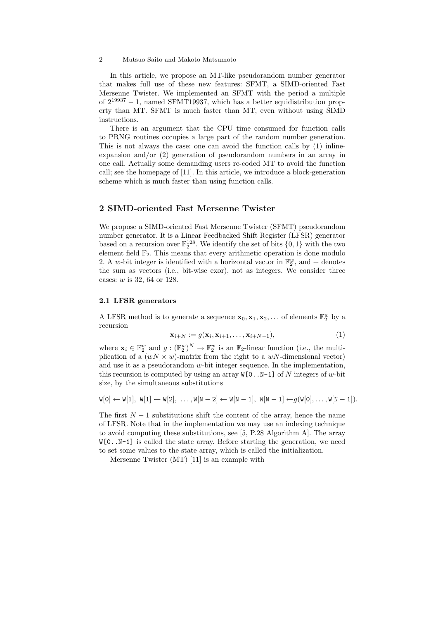In this article, we propose an MT-like pseudorandom number generator that makes full use of these new features: SFMT, a SIMD-oriented Fast Mersenne Twister. We implemented an SFMT with the period a multiple of  $2^{19937} - 1$ , named SFMT19937, which has a better equidistribution property than MT. SFMT is much faster than MT, even without using SIMD instructions.

There is an argument that the CPU time consumed for function calls to PRNG routines occupies a large part of the random number generation. This is not always the case: one can avoid the function calls by (1) inlineexpansion and/or (2) generation of pseudorandom numbers in an array in one call. Actually some demanding users re-coded MT to avoid the function call; see the homepage of [11]. In this article, we introduce a block-generation scheme which is much faster than using function calls.

# 2 SIMD-oriented Fast Mersenne Twister

We propose a SIMD-oriented Fast Mersenne Twister (SFMT) pseudorandom number generator. It is a Linear Feedbacked Shift Register (LFSR) generator based on a recursion over  $\mathbb{F}_2^{128}$ . We identify the set of bits  $\{0,1\}$  with the two element field  $\mathbb{F}_2$ . This means that every arithmetic operation is done modulo 2. A w-bit integer is identified with a horizontal vector in  $\mathbb{F}_2^w$ , and + denotes the sum as vectors (i.e., bit-wise exor), not as integers. We consider three cases: w is 32, 64 or 128.

# 2.1 LFSR generators

A LFSR method is to generate a sequence  $\mathbf{x}_0, \mathbf{x}_1, \mathbf{x}_2, \dots$  of elements  $\mathbb{F}_2^w$  by a recursion

$$
\mathbf{x}_{i+N} := g(\mathbf{x}_i, \mathbf{x}_{i+1}, \dots, \mathbf{x}_{i+N-1}),
$$
\n(1)

where  $\mathbf{x}_i \in \mathbb{F}_2^w$  and  $g: (\mathbb{F}_2^w)^N \to \mathbb{F}_2^w$  is an  $\mathbb{F}_2$ -linear function (i.e., the multiplication of a  $(wN \times w)$ -matrix from the right to a wN-dimensional vector) and use it as a pseudorandom  $w$ -bit integer sequence. In the implementation, this recursion is computed by using an array  $W[0, .N-1]$  of N integers of w-bit size, by the simultaneous substitutions

$$
\texttt{W}[0] \leftarrow \texttt{W}[1], \; \texttt{W}[1] \leftarrow \texttt{W}[2], \; \ldots, \texttt{W}[N-2] \leftarrow \texttt{W}[N-1], \; \texttt{W}[N-1] \leftarrow g(\texttt{W}[0], \ldots, \texttt{W}[N-1]).
$$

The first  $N-1$  substitutions shift the content of the array, hence the name of LFSR. Note that in the implementation we may use an indexing technique to avoid computing these substitutions, see [5, P.28 Algorithm A]. The array  $W[0..N-1]$  is called the state array. Before starting the generation, we need to set some values to the state array, which is called the initialization.

Mersenne Twister (MT) [11] is an example with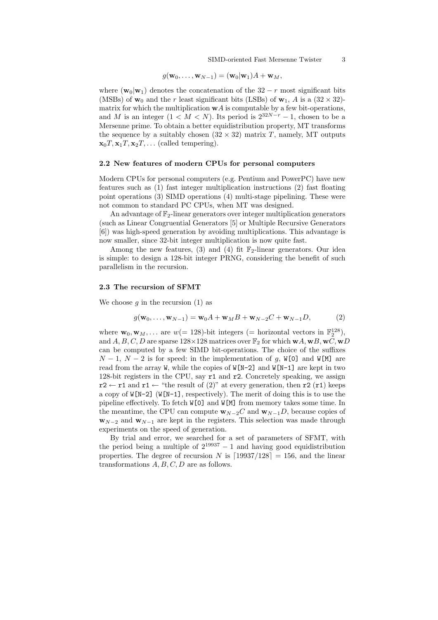$$
g(\mathbf{w}_0,\ldots,\mathbf{w}_{N-1})=(\mathbf{w}_0|\mathbf{w}_1)A+\mathbf{w}_M,
$$

where ( $\mathbf{w}_0|\mathbf{w}_1$ ) denotes the concatenation of the 32 – r most significant bits (MSBs) of  $w_0$  and the r least significant bits (LSBs) of  $w_1$ , A is a  $(32 \times 32)$ matrix for which the multiplication  $wA$  is computable by a few bit-operations, and M is an integer  $(1 < M < N)$ . Its period is  $2^{32N-r} - 1$ , chosen to be a Mersenne prime. To obtain a better equidistribution property, MT transforms the sequence by a suitably chosen  $(32 \times 32)$  matrix T, namely, MT outputs  $\mathbf{x}_0 T, \mathbf{x}_1 T, \mathbf{x}_2 T, \ldots$  (called tempering).

## 2.2 New features of modern CPUs for personal computers

Modern CPUs for personal computers (e.g. Pentium and PowerPC) have new features such as (1) fast integer multiplication instructions (2) fast floating point operations (3) SIMD operations (4) multi-stage pipelining. These were not common to standard PC CPUs, when MT was designed.

An advantage of  $\mathbb{F}_2$ -linear generators over integer multiplication generators (such as Linear Congruential Generators [5] or Multiple Recursive Generators [6]) was high-speed generation by avoiding multiplications. This advantage is now smaller, since 32-bit integer multiplication is now quite fast.

Among the new features, (3) and (4) fit  $\mathbb{F}_2$ -linear generators. Our idea is simple: to design a 128-bit integer PRNG, considering the benefit of such parallelism in the recursion.

### 2.3 The recursion of SFMT

We choose  $q$  in the recursion (1) as

$$
g(\mathbf{w}_0, \dots, \mathbf{w}_{N-1}) = \mathbf{w}_0 A + \mathbf{w}_M B + \mathbf{w}_{N-2} C + \mathbf{w}_{N-1} D,
$$
 (2)

where  $\mathbf{w}_0, \mathbf{w}_M, \dots$  are  $w(= 128)$ -bit integers (= horizontal vectors in  $\mathbb{F}_2^{128}$ ), and A, B, C, D are sparse  $128 \times 128$  matrices over  $\mathbb{F}_2$  for which  $\mathbf{w}A, \mathbf{w}B, \mathbf{w}C, \mathbf{w}D$ can be computed by a few SIMD bit-operations. The choice of the suffixes  $N-1$ ,  $N-2$  is for speed: in the implementation of g, W[0] and W[M] are read from the array W, while the copies of  $W[N-2]$  and  $W[N-1]$  are kept in two 128-bit registers in the CPU, say r1 and r2. Concretely speaking, we assign  $r2 \leftarrow r1$  and  $r1 \leftarrow$  "the result of (2)" at every generation, then  $r2$  ( $r1$ ) keeps a copy of  $W[N-2]$  (W[N-1], respectively). The merit of doing this is to use the pipeline effectively. To fetch W[0] and W[M] from memory takes some time. In the meantime, the CPU can compute  $\mathbf{w}_{N-2}C$  and  $\mathbf{w}_{N-1}D$ , because copies of  $\mathbf{w}_{N-2}$  and  $\mathbf{w}_{N-1}$  are kept in the registers. This selection was made through experiments on the speed of generation.

By trial and error, we searched for a set of parameters of SFMT, with the period being a multiple of  $2^{19937} - 1$  and having good equidistribution properties. The degree of recursion N is  $[19937/128] = 156$ , and the linear transformations  $A, B, C, D$  are as follows.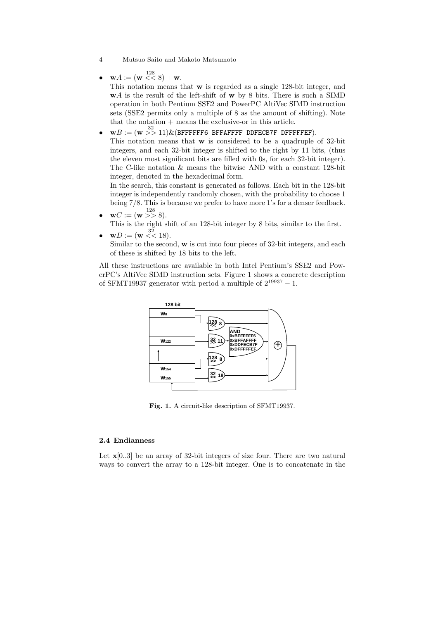- 4 Mutsuo Saito and Makoto Matsumoto
- $\mathbf{w}A := (\mathbf{w} \leq 8) + \mathbf{w}.$

This notation means that w is regarded as a single 128-bit integer, and wA is the result of the left-shift of w by 8 bits. There is such a SIMD operation in both Pentium SSE2 and PowerPC AltiVec SIMD instruction sets (SSE2 permits only a multiple of 8 as the amount of shifting). Note that the notation + means the exclusive-or in this article.

 $\bullet \quad$  w $B:=($  w $\quad \gg 11) \& ($ BFFFFFF6 BFFAFFFF DDFECB7F DFFFFFEF). This notation means that w is considered to be a quadruple of 32-bit integers, and each 32-bit integer is shifted to the right by 11 bits, (thus the eleven most significant bits are filled with 0s, for each 32-bit integer). The C-like notation & means the bitwise AND with a constant 128-bit integer, denoted in the hexadecimal form.

In the search, this constant is generated as follows. Each bit in the 128-bit integer is independently randomly chosen, with the probability to choose 1 being 7/8. This is because we prefer to have more 1's for a denser feedback.

•  $\mathbf{w} \cdot \mathbf{w} = (\mathbf{w} \gt^2 8).$ 

This is the right shift of an 128-bit integer by 8 bits, similar to the first.

•  $wD := (w \le 18)$ . Similar to the second, w is cut into four pieces of 32-bit integers, and each of these is shifted by 18 bits to the left.

All these instructions are available in both Intel Pentium's SSE2 and PowerPC's AltiVec SIMD instruction sets. Figure 1 shows a concrete description of SFMT19937 generator with period a multiple of  $2^{19937} - 1$ .



Fig. 1. A circuit-like description of SFMT19937.

# 2.4 Endianness

Let  $\mathbf{x}[0..3]$  be an array of 32-bit integers of size four. There are two natural ways to convert the array to a 128-bit integer. One is to concatenate in the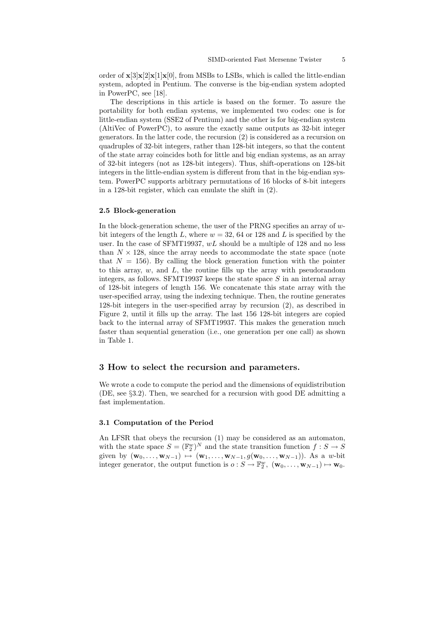order of  $\mathbf{x}[3]\mathbf{x}[2]\mathbf{x}[1]\mathbf{x}[0]$ , from MSBs to LSBs, which is called the little-endian system, adopted in Pentium. The converse is the big-endian system adopted in PowerPC, see [18].

The descriptions in this article is based on the former. To assure the portability for both endian systems, we implemented two codes: one is for little-endian system (SSE2 of Pentium) and the other is for big-endian system (AltiVec of PowerPC), to assure the exactly same outputs as 32-bit integer generators. In the latter code, the recursion (2) is considered as a recursion on quadruples of 32-bit integers, rather than 128-bit integers, so that the content of the state array coincides both for little and big endian systems, as an array of 32-bit integers (not as 128-bit integers). Thus, shift-operations on 128-bit integers in the little-endian system is different from that in the big-endian system. PowerPC supports arbitrary permutations of 16 blocks of 8-bit integers in a 128-bit register, which can emulate the shift in (2).

#### 2.5 Block-generation

In the block-generation scheme, the user of the PRNG specifies an array of  $w$ bit integers of the length L, where  $w = 32, 64$  or 128 and L is specified by the user. In the case of SFMT19937,  $wL$  should be a multiple of 128 and no less than  $N \times 128$ , since the array needs to accommodate the state space (note that  $N = 156$ ). By calling the block generation function with the pointer to this array,  $w$ , and  $L$ , the routine fills up the array with pseudorandom integers, as follows. SFMT19937 keeps the state space  $S$  in an internal array of 128-bit integers of length 156. We concatenate this state array with the user-specified array, using the indexing technique. Then, the routine generates 128-bit integers in the user-specified array by recursion (2), as described in Figure 2, until it fills up the array. The last 156 128-bit integers are copied back to the internal array of SFMT19937. This makes the generation much faster than sequential generation (i.e., one generation per one call) as shown in Table 1.

# 3 How to select the recursion and parameters.

We wrote a code to compute the period and the dimensions of equidistribution (DE, see §3.2). Then, we searched for a recursion with good DE admitting a fast implementation.

### 3.1 Computation of the Period

An LFSR that obeys the recursion (1) may be considered as an automaton, with the state space  $S = (\mathbb{F}_2^w)^N$  and the state transition function  $f : S \to S$ given by  $(\mathbf{w}_0, \dots, \mathbf{w}_{N-1}) \mapsto (\mathbf{w}_1, \dots, \mathbf{w}_{N-1}, g(\mathbf{w}_0, \dots, \mathbf{w}_{N-1}))$ . As a w-bit integer generator, the output function is  $o: S \to \mathbb{F}_2^w$ ,  $(\mathbf{w}_0, \dots, \mathbf{w}_{N-1}) \mapsto \mathbf{w}_0$ .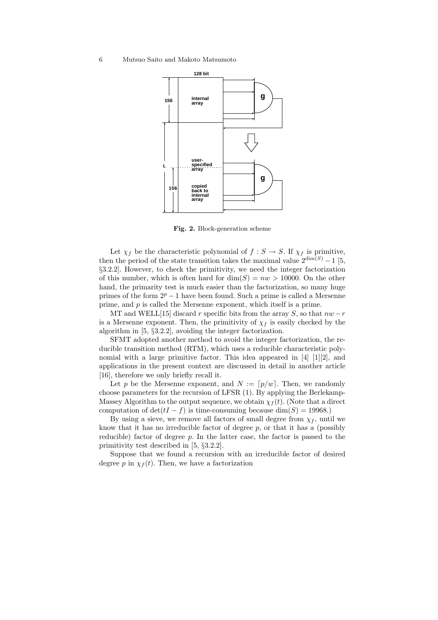

Fig. 2. Block-generation scheme

Let  $\chi_f$  be the characteristic polynomial of  $f : S \to S$ . If  $\chi_f$  is primitive, then the period of the state transition takes the maximal value  $2^{\dim(S)} - 1$  [5, §3.2.2]. However, to check the primitivity, we need the integer factorization of this number, which is often hard for  $dim(S) = nw > 10000$ . On the other hand, the primarity test is much easier than the factorization, so many huge primes of the form  $2^p - 1$  have been found. Such a prime is called a Mersenne prime, and p is called the Mersenne exponent, which itself is a prime.

MT and WELL[15] discard r specific bits from the array S, so that  $nw-r$ is a Mersenne exponent. Then, the primitivity of  $\chi_f$  is easily checked by the algorithm in [5, §3.2.2], avoiding the integer factorization.

SFMT adopted another method to avoid the integer factorization, the reducible transition method (RTM), which uses a reducible characteristic polynomial with a large primitive factor. This idea appeared in [4] [1][2], and applications in the present context are discussed in detail in another article [16], therefore we only briefly recall it.

Let p be the Mersenne exponent, and  $N := [p/w]$ . Then, we randomly choose parameters for the recursion of LFSR (1). By applying the Berlekamp-Massey Algorithm to the output sequence, we obtain  $\chi_f(t)$ . (Note that a direct computation of  $\det(tI - f)$  is time-consuming because  $\dim(S) = 19968$ .)

By using a sieve, we remove all factors of small degree from  $\chi_f$ , until we know that it has no irreducible factor of degree  $p$ , or that it has a (possibly reducible) factor of degree  $p$ . In the latter case, the factor is passed to the primitivity test described in [5, §3.2.2].

Suppose that we found a recursion with an irreducible factor of desired degree p in  $\chi_f(t)$ . Then, we have a factorization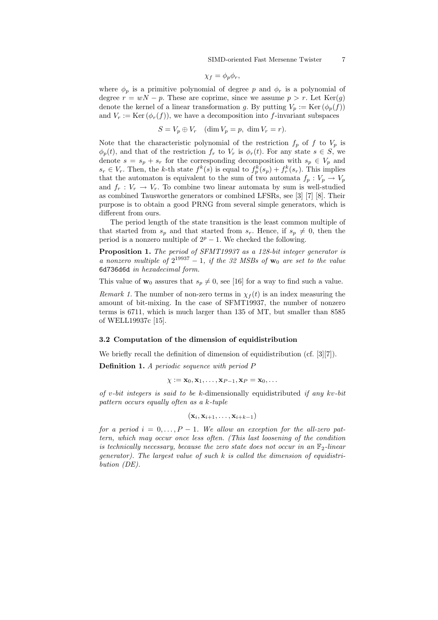$$
\chi_f = \phi_p \phi_r,
$$

where  $\phi_p$  is a primitive polynomial of degree p and  $\phi_r$  is a polynomial of degree  $r = wN - p$ . These are coprime, since we assume  $p > r$ . Let  $Ker(g)$ denote the kernel of a linear transformation g. By putting  $V_p := \text{Ker}(\phi_p(f))$ and  $V_r := \text{Ker}(\phi_r(f))$ , we have a decomposition into f-invariant subspaces

$$
S = V_p \oplus V_r \quad (\dim V_p = p, \dim V_r = r).
$$

Note that the characteristic polynomial of the restriction  $f_p$  of f to  $V_p$  is  $\phi_p(t)$ , and that of the restriction  $f_r$  to  $V_r$  is  $\phi_r(t)$ . For any state  $s \in S$ , we denote  $s = s_p + s_r$  for the corresponding decomposition with  $s_p \in V_p$  and  $s_r \in V_r$ . Then, the k-th state  $f^k(s)$  is equal to  $f^k_p(s_p) + f^k_r(s_r)$ . This implies that the automaton is equivalent to the sum of two automata  $f_p: V_p \to V_p$ and  $f_r: V_r \to V_r$ . To combine two linear automata by sum is well-studied as combined Tausworthe generators or combined LFSRs, see [3] [7] [8]. Their purpose is to obtain a good PRNG from several simple generators, which is different from ours.

The period length of the state transition is the least common multiple of that started from  $s_p$  and that started from  $s_r$ . Hence, if  $s_p \neq 0$ , then the period is a nonzero multiple of  $2^p - 1$ . We checked the following.

Proposition 1. The period of SFMT19937 as a 128-bit integer generator is a nonzero multiple of  $2^{19937} - 1$ , if the 32 MSBs of  $w_0$  are set to the value 6d736d6d in hexadecimal form.

This value of  $\mathbf{w}_0$  assures that  $s_p \neq 0$ , see [16] for a way to find such a value.

Remark 1. The number of non-zero terms in  $\chi_f(t)$  is an index measuring the amount of bit-mixing. In the case of SFMT19937, the number of nonzero terms is 6711, which is much larger than 135 of MT, but smaller than 8585 of WELL19937c [15].

#### 3.2 Computation of the dimension of equidistribution

We briefly recall the definition of dimension of equidistribution (cf. [3][7]).

Definition 1. A periodic sequence with period P

$$
\chi := \mathbf{x}_0, \mathbf{x}_1, \ldots, \mathbf{x}_{P-1}, \mathbf{x}_P = \mathbf{x}_0, \ldots
$$

of v-bit integers is said to be k-dimensionally equidistributed if any kv-bit pattern occurs equally often as a k-tuple

$$
(\mathbf{x}_i, \mathbf{x}_{i+1}, \dots, \mathbf{x}_{i+k-1})
$$

for a period  $i = 0, \ldots, P - 1$ . We allow an exception for the all-zero pattern, which may occur once less often. (This last loosening of the condition is technically necessary, because the zero state does not occur in an  $\mathbb{F}_2$ -linear generator). The largest value of such  $k$  is called the dimension of equidistribution (DE).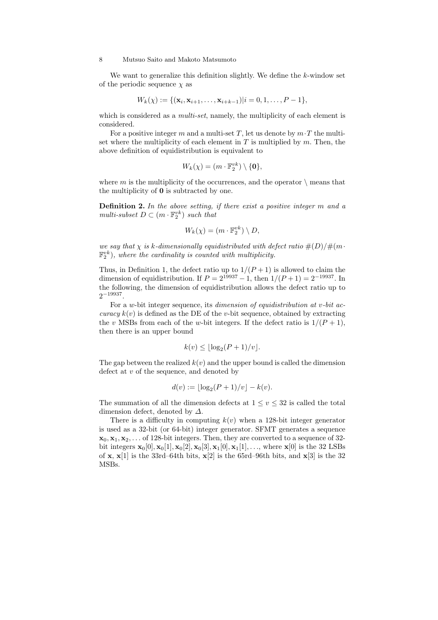We want to generalize this definition slightly. We define the  $k$ -window set of the periodic sequence  $\chi$  as

$$
W_k(\chi) := \{(\mathbf{x}_i, \mathbf{x}_{i+1}, \dots, \mathbf{x}_{i+k-1}) | i = 0, 1, \dots, P-1\},\
$$

which is considered as a *multi-set*, namely, the multiplicity of each element is considered.

For a positive integer m and a multi-set T, let us denote by  $m \cdot T$  the multiset where the multiplicity of each element in  $T$  is multiplied by  $m$ . Then, the above definition of equidistribution is equivalent to

$$
W_k(\chi) = (m \cdot \mathbb{F}_2^{vk}) \setminus \{\mathbf{0}\},\
$$

where m is the multiplicity of the occurrences, and the operator  $\setminus$  means that the multiplicity of 0 is subtracted by one.

Definition 2. In the above setting, if there exist a positive integer m and a multi-subset  $D \subset (m \cdot \mathbb{F}_2^{vk})$  such that

$$
W_k(\chi) = (m \cdot \mathbb{F}_2^{vk}) \setminus D,
$$

we say that  $\chi$  is k-dimensionally equidistributed with defect ratio  $\#(D)/\#(m \cdot$  $\mathbb{F}_2^{vk}$ ), where the cardinality is counted with multiplicity.

Thus, in Definition 1, the defect ratio up to  $1/(P+1)$  is allowed to claim the dimension of equidistribution. If  $P = 2^{19937} - 1$ , then  $1/(P+1) = 2^{-19937}$ . In the following, the dimension of equidistribution allows the defect ratio up to  $2^{-19937}$ .

For a w-bit integer sequence, its dimension of equidistribution at v-bit ac*curacy*  $k(v)$  is defined as the DE of the *v*-bit sequence, obtained by extracting the v MSBs from each of the w-bit integers. If the defect ratio is  $1/(P+1)$ , then there is an upper bound

$$
k(v) \le \lfloor \log_2(P+1)/v \rfloor.
$$

The gap between the realized  $k(v)$  and the upper bound is called the dimension defect at v of the sequence, and denoted by

$$
d(v) := \lfloor \log_2(P+1)/v \rfloor - k(v).
$$

The summation of all the dimension defects at  $1 \le v \le 32$  is called the total dimension defect, denoted by  $\Delta$ .

There is a difficulty in computing  $k(v)$  when a 128-bit integer generator is used as a 32-bit (or 64-bit) integer generator. SFMT generates a sequence  $x_0, x_1, x_2, \ldots$  of 128-bit integers. Then, they are converted to a sequence of 32bit integers  $\mathbf{x}_0[0], \mathbf{x}_0[1], \mathbf{x}_0[2], \mathbf{x}_0[3], \mathbf{x}_1[0], \mathbf{x}_1[1], \ldots$ , where  $\mathbf{x}[0]$  is the 32 LSBs of  $x$ ,  $x[1]$  is the 33rd–64th bits,  $x[2]$  is the 65rd–96th bits, and  $x[3]$  is the 32 MSBs.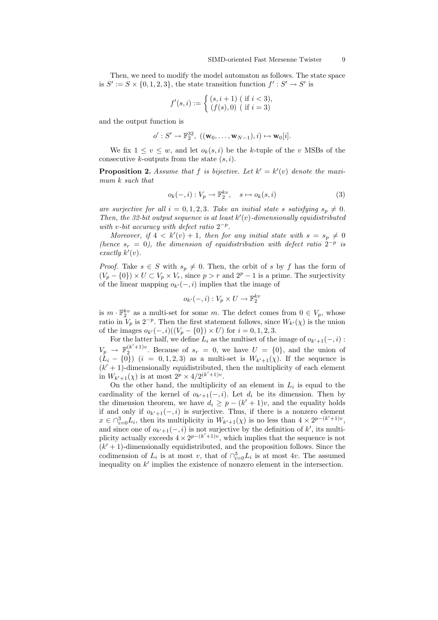Then, we need to modify the model automaton as follows. The state space is  $S' := S \times \{0, 1, 2, 3\}$ , the state transition function  $f' : S' \to S'$  is

$$
f'(s, i) := \begin{cases} (s, i + 1) & (if i < 3), \\ (f(s), 0) & (if i = 3) \end{cases}
$$

and the output function is

$$
o':S'\rightarrow \mathbb{F}_2^{32},\ ((\mathbf{w}_0,\ldots,\mathbf{w}_{N-1}),i)\mapsto \mathbf{w}_0[i].
$$

We fix  $1 \le v \le w$ , and let  $o_k(s, i)$  be the k-tuple of the v MSBs of the consecutive k-outputs from the state  $(s, i)$ .

**Proposition 2.** Assume that f is bijective. Let  $k' = k'(v)$  denote the maximum k such that

$$
o_k(-,i): V_p \to \mathbb{F}_2^{kv}, \quad s \mapsto o_k(s,i)
$$
 (3)

are surjective for all  $i = 0, 1, 2, 3$ . Take an initial state s satisfying  $s_p \neq 0$ . Then, the 32-bit output sequence is at least  $k'(v)$ -dimensionally equidistributed with v-bit accuracy with defect ratio  $2^{-p}$ .

Moreover, if  $4 < k'(v) + 1$ , then for any initial state with  $s = s_p \neq 0$ (hence  $s_r = 0$ ), the dimension of equidistribution with defect ratio  $2^{-p}$  is exactly  $k'(v)$ .

*Proof.* Take  $s \in S$  with  $s_p \neq 0$ . Then, the orbit of s by f has the form of  $(V_p - \{0\}) \times U \subset V_p \times V_r$ , since  $p > r$  and  $2^p - 1$  is a prime. The surjectivity of the linear mapping  $o_{k'}(-, i)$  implies that the image of

$$
o_{k'}(-,i): V_p \times U \to \mathbb{F}_2^{kv}
$$

is  $m \cdot \mathbb{F}_2^{kv}$  as a multi-set for some m. The defect comes from  $0 \in V_p$ , whose ratio in  $V_p$  is  $2^{-p}$ . Then the first statement follows, since  $W_{k'}(\chi)$  is the union of the images  $o_{k'}(-, i)((V_p - \{0\}) \times U)$  for  $i = 0, 1, 2, 3$ .

For the latter half, we define  $L_i$  as the multiset of the image of  $o_{k'+1}(-, i)$ :  $V_p \rightarrow \mathbb{F}_2^{(k'+1)v}$ . Because of  $s_r = 0$ , we have  $U = \{0\}$ , and the union of  $(L_i - \{0\})$   $(i = 0, 1, 2, 3)$  as a multi-set is  $W_{k'+1}(\chi)$ . If the sequence is  $(k' + 1)$ -dimensionally equidistributed, then the multiplicity of each element in  $W_{k'+1}(\chi)$  is at most  $2^p \times 4/2^{(k'+1)v}$ .

On the other hand, the multiplicity of an element in  $L_i$  is equal to the cardinality of the kernel of  $o_{k'+1}(-, i)$ . Let  $d_i$  be its dimension. Then by the dimension theorem, we have  $d_i \geq p - (k' + 1)v$ , and the equality holds if and only if  $o_{k'+1}(-, i)$  is surjective. Thus, if there is a nonzero element  $x \in \bigcap_{i=0}^3 L_i$ , then its multiplicity in  $W_{k'+1}(\chi)$  is no less than  $4 \times 2^{p-(k'+1)v}$ , and since one of  $o_{k'+1}(-, i)$  is not surjective by the definition of k', its multiplicity actually exceeds  $4 \times 2^{p-(k'+1)v}$ , which implies that the sequence is not  $(k' + 1)$ -dimensionally equidistributed, and the proposition follows. Since the codimension of  $L_i$  is at most v, that of  $\bigcap_{i=0}^3 L_i$  is at most 4v. The assumed inequality on  $k'$  implies the existence of nonzero element in the intersection.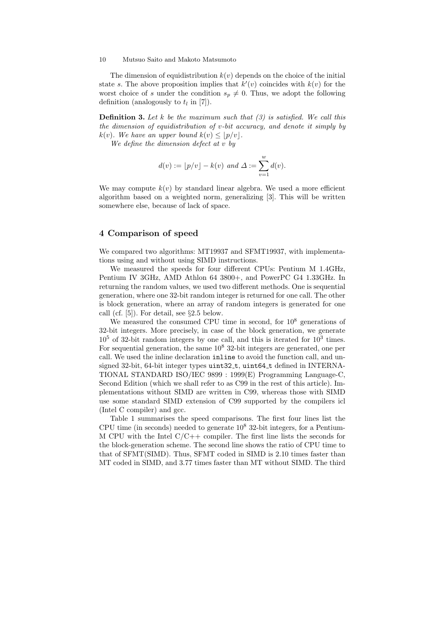The dimension of equidistribution  $k(v)$  depends on the choice of the initial state s. The above proposition implies that  $k'(v)$  coincides with  $k(v)$  for the worst choice of s under the condition  $s_n \neq 0$ . Thus, we adopt the following definition (analogously to  $t_l$  in [7]).

**Definition 3.** Let k be the maximum such that  $(3)$  is satisfied. We call this the dimension of equidistribution of v-bit accuracy, and denote it simply by  $k(v)$ . We have an upper bound  $k(v) \leq |p/v|$ .

We define the dimension defect at  $v$  by

$$
d(v) := \lfloor p/v \rfloor - k(v)
$$
 and  $\Delta := \sum_{v=1}^{w} d(v)$ .

We may compute  $k(v)$  by standard linear algebra. We used a more efficient algorithm based on a weighted norm, generalizing [3]. This will be written somewhere else, because of lack of space.

# 4 Comparison of speed

We compared two algorithms: MT19937 and SFMT19937, with implementations using and without using SIMD instructions.

We measured the speeds for four different CPUs: Pentium M 1.4GHz, Pentium IV 3GHz, AMD Athlon 64 3800+, and PowerPC G4 1.33GHz. In returning the random values, we used two different methods. One is sequential generation, where one 32-bit random integer is returned for one call. The other is block generation, where an array of random integers is generated for one call (cf. [5]). For detail, see §2.5 below.

We measured the consumed CPU time in second, for  $10^8$  generations of 32-bit integers. More precisely, in case of the block generation, we generate  $10<sup>5</sup>$  of 32-bit random integers by one call, and this is iterated for  $10<sup>3</sup>$  times. For sequential generation, the same  $10^8$  32-bit integers are generated, one per call. We used the inline declaration inline to avoid the function call, and unsigned 32-bit, 64-bit integer types uint32<sub>-t</sub>, uint64<sub>-t</sub> defined in INTERNA-TIONAL STANDARD ISO/IEC 9899 : 1999(E) Programming Language-C, Second Edition (which we shall refer to as C99 in the rest of this article). Implementations without SIMD are written in C99, whereas those with SIMD use some standard SIMD extension of C99 supported by the compilers icl (Intel C compiler) and gcc.

Table 1 summarises the speed comparisons. The first four lines list the CPU time (in seconds) needed to generate  $10^8$  32-bit integers, for a Pentium-M CPU with the Intel  $C/C++$  compiler. The first line lists the seconds for the block-generation scheme. The second line shows the ratio of CPU time to that of SFMT(SIMD). Thus, SFMT coded in SIMD is 2.10 times faster than MT coded in SIMD, and 3.77 times faster than MT without SIMD. The third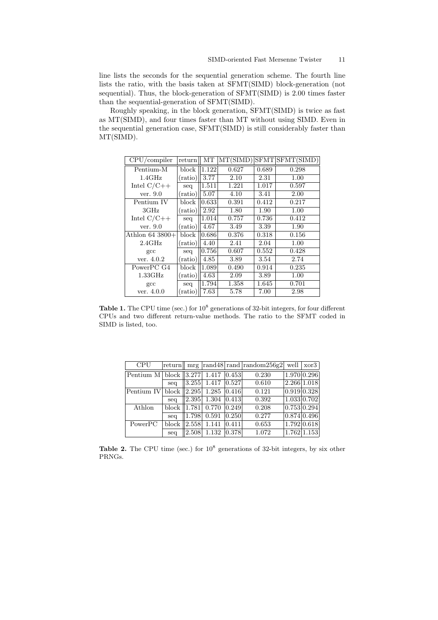line lists the seconds for the sequential generation scheme. The fourth line lists the ratio, with the basis taken at SFMT(SIMD) block-generation (not sequential). Thus, the block-generation of SFMT(SIMD) is 2.00 times faster than the sequential-generation of SFMT(SIMD).

Roughly speaking, in the block generation, SFMT(SIMD) is twice as fast as MT(SIMD), and four times faster than MT without using SIMD. Even in the sequential generation case, SFMT(SIMD) is still considerably faster than MT(SIMD).

| $CPU$ /compiler    | return  | MT    | MT(SIMD) |       | SFMT SFMT (SIMD) |
|--------------------|---------|-------|----------|-------|------------------|
| Pentium-M          | block   | 1.122 | 0.627    | 0.689 | 0.298            |
| $1.4 \text{GHz}$   | (ratio) | 3.77  | 2.10     | 2.31  | 1.00             |
| Intel $C/C++$      | seq     | 1.511 | 1.221    | 1.017 | 0.597            |
| ver. $9.0$         | (ratio) | 5.07  | 4.10     | 3.41  | 2.00             |
| Pentium IV         | block   | 0.633 | 0.391    | 0.412 | 0.217            |
| 3GHz               | (ratio) | 2.92  | 1.80     | 1.90  | 1.00             |
| Intel $C/C++$      | seq     | 1.014 | 0.757    | 0.736 | 0.412            |
| ver. 9.0           | (ratio) | 4.67  | 3.49     | 3.39  | 1.90             |
| Athlon $64\,3800+$ | block   | 0.686 | 0.376    | 0.318 | 0.156            |
| $2.4\text{GHz}$    | (ratio) | 4.40  | 2.41     | 2.04  | 1.00             |
| $_{\rm gcc}$       | seq     | 0.756 | 0.607    | 0.552 | 0.428            |
| ver. 4.0.2         | (ratio) | 4.85  | 3.89     | 3.54  | 2.74             |
| PowerPC G4         | block   | 1.089 | 0.490    | 0.914 | 0.235            |
| $1.33\text{GHz}$   | (ratio) | 4.63  | 2.09     | 3.89  | 1.00             |
| $_{\rm gcc}$       | seq     | 1.794 | 1.358    | 1.645 | 0.701            |
| ver. 4.0.0         | (ratio) | 7.63  | 5.78     | 7.00  | 2.98             |

Table 1. The CPU time (sec.) for  $10^8$  generations of 32-bit integers, for four different CPUs and two different return-value methods. The ratio to the SFMT coded in SIMD is listed, too.

| <b>CPU</b>                                   | return          |       |       |         | $\rm{mrg}$  rand48  rand  random256g2 |             | well $\vert x$ or 3             |
|----------------------------------------------|-----------------|-------|-------|---------|---------------------------------------|-------------|---------------------------------|
| Pentium M   block $\left 3.277\right $ 1.417 |                 |       |       | 0.453   | 0.230                                 |             | 1.970 0.296                     |
|                                              | seq             | 3.255 | 1.417 | 0.527   | 0.610                                 | 2.266 1.018 |                                 |
| Pentium IV                                   | block $ 2.295 $ |       | 1.285 | [0.416] | 0.121                                 | 0.919 0.328 |                                 |
|                                              | seq             | 2.395 | 1.304 | 0.413   | 0.392                                 |             | 1.033 0.702                     |
| Athlon                                       | block $ 1.781$  |       | 0.770 | 0.249   | 0.208                                 | 0.753 0.294 |                                 |
|                                              | seq             | 1.798 | 0.591 | 0.250   | 0.277                                 |             | 0.874 0.496                     |
| PowerPC                                      | block $ 2.558 $ |       | 1.141 | 0.411   | 0.653                                 | 1.792 0.618 |                                 |
|                                              | seq             | 2.508 | 1.132 | 0.378   | 1.072                                 |             | $\vert 1.762 \vert 1.153 \vert$ |

**Table 2.** The CPU time (sec.) for  $10^8$  generations of 32-bit integers, by six other PRNGs.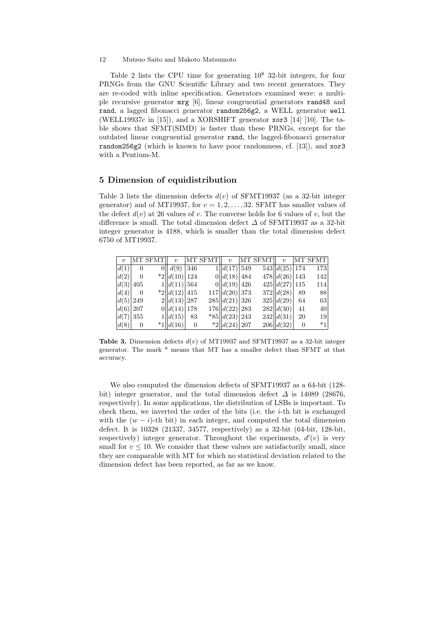Table 2 lists the CPU time for generating  $10^8$  32-bit integers, for four PRNGs from the GNU Scientific Library and two recent generators. They are re-coded with inline specification. Generators examined were: a multiple recursive generator mrg [6], linear congruential generators rand48 and rand, a lagged fibonacci generator random256g2, a WELL generator well (WELL19937c in [15]), and a XORSHIFT generator xor3 [14] [10]. The table shows that SFMT(SIMD) is faster than these PRNGs, except for the outdated linear congruential generator rand, the lagged-fibonacci generator random256g2 (which is known to have poor randomness, cf. [13]), and xor3 with a Pentium-M.

# 5 Dimension of equidistribution

Table 3 lists the dimension defects  $d(v)$  of SFMT19937 (as a 32-bit integer generator) and of MT19937, for  $v = 1, 2, ..., 32$ . SFMT has smaller values of the defect  $d(v)$  at 26 values of v. The converse holds for 6 values of v, but the difference is small. The total dimension defect  $\Delta$  of SFMT19937 as a 32-bit integer generator is 4188, which is smaller than the total dimension defect 6750 of MT19937.

| $\boldsymbol{v}$ |                | MT SFMT | $\boldsymbol{v}$  |                | MT SFMT |                               | $v$  MT SFMT | $\boldsymbol{v}$ |                | MT SFMT |
|------------------|----------------|---------|-------------------|----------------|---------|-------------------------------|--------------|------------------|----------------|---------|
| d(1)             | $\overline{0}$ | OΙΙ     | d(9)              | 346            |         | 1  d(17) 549                  |              | 543  d(25) 174   |                | 173     |
| d(2)             | $\theta$       |         | d(10)  124        |                |         | 0  d(18) 484                  |              | 478  d(26) 143   |                | 142     |
| d(3)             | 405            |         | 1  d(11) 564      |                |         | 0  d(19) 426                  |              | 425  d(27) 115   |                | 114     |
| d(4)             | $\theta$       |         | $\ 2\ d(12)\ 415$ |                |         | 117  d(20) 373                |              | 372 d(28)        | -89            | -88     |
| $ d(5) $ 249     |                |         | 2  d(13) 287      |                |         | 285  d(21) 326                |              | 325  d(29)       | 64             | 63      |
| $ d(6) $ 207     |                |         | 0  d(14) 178      |                |         | 176  d(22) 283                |              | 282 d(30)        | 41             | 40      |
| d(7) 355         |                |         | $1  d(15) $ 83    |                |         | $*85  d(23) 243$              |              | 242 d(31)        | 20             | 19      |
| d(8)             | $\overline{0}$ |         | $*1 d(16) $       | $\overline{0}$ |         | $\frac{1}{2}$   $d(24)$   207 |              | 206  d(32)       | $\overline{0}$ | $*1$    |

Table 3. Dimension defects  $d(v)$  of MT19937 and SFMT19937 as a 32-bit integer generator. The mark \* means that MT has a smaller defect than SFMT at that accuracy.

We also computed the dimension defects of SFMT19937 as a 64-bit (128 bit) integer generator, and the total dimension defect  $\Delta$  is 14089 (28676, respectively). In some applications, the distribution of LSBs is important. To check them, we inverted the order of the bits (i.e. the i-th bit is exchanged with the  $(w - i)$ -th bit) in each integer, and computed the total dimension defect. It is 10328 (21337, 34577, respectively) as a 32-bit (64-bit, 128-bit, respectively) integer generator. Throughout the experiments,  $d'(v)$  is very small for  $v \leq 10$ . We consider that these values are satisfactorily small, since they are comparable with MT for which no statistical deviation related to the dimension defect has been reported, as far as we know.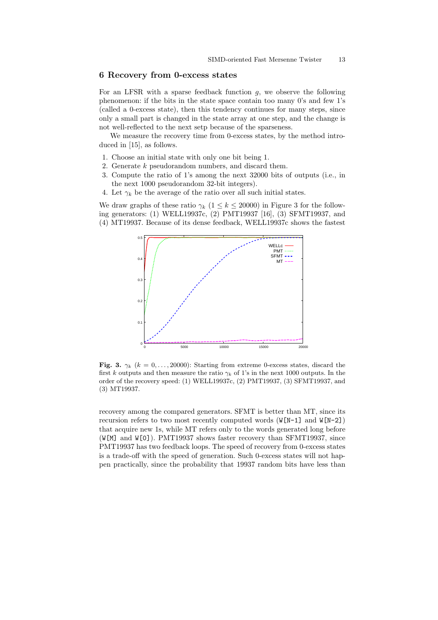# 6 Recovery from 0-excess states

For an LFSR with a sparse feedback function  $g$ , we observe the following phenomenon: if the bits in the state space contain too many 0's and few 1's (called a 0-excess state), then this tendency continues for many steps, since only a small part is changed in the state array at one step, and the change is not well-reflected to the next setp because of the sparseness.

We measure the recovery time from 0-excess states, by the method introduced in [15], as follows.

- 1. Choose an initial state with only one bit being 1.
- 2. Generate k pseudorandom numbers, and discard them.
- 3. Compute the ratio of 1's among the next 32000 bits of outputs (i.e., in the next 1000 pseudorandom 32-bit integers).
- 4. Let  $\gamma_k$  be the average of the ratio over all such initial states.

We draw graphs of these ratio  $\gamma_k$  ( $1 \leq k \leq 20000$ ) in Figure 3 for the following generators: (1) WELL19937c, (2) PMT19937 [16], (3) SFMT19937, and (4) MT19937. Because of its dense feedback, WELL19937c shows the fastest



Fig. 3.  $\gamma_k$  ( $k = 0, \ldots, 20000$ ): Starting from extreme 0-excess states, discard the first k outputs and then measure the ratio  $\gamma_k$  of 1's in the next 1000 outputs. In the order of the recovery speed: (1) WELL19937c, (2) PMT19937, (3) SFMT19937, and (3) MT19937.

recovery among the compared generators. SFMT is better than MT, since its recursion refers to two most recently computed words  $(W[N-1]$  and  $W[N-2]$ that acquire new 1s, while MT refers only to the words generated long before (W[M] and W[0]). PMT19937 shows faster recovery than SFMT19937, since PMT19937 has two feedback loops. The speed of recovery from 0-excess states is a trade-off with the speed of generation. Such 0-excess states will not happen practically, since the probability that 19937 random bits have less than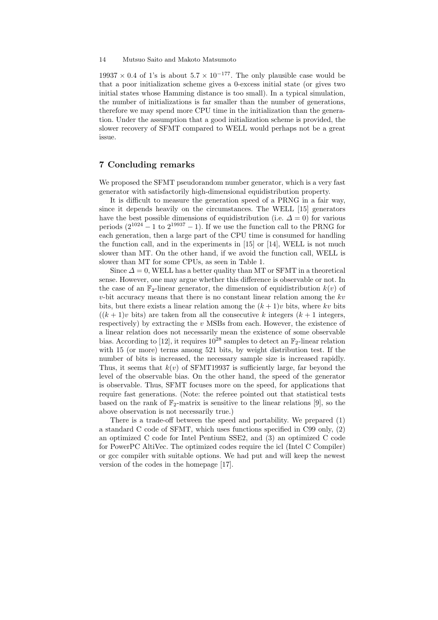$19937 \times 0.4$  of 1's is about  $5.7 \times 10^{-177}$ . The only plausible case would be that a poor initialization scheme gives a 0-excess initial state (or gives two initial states whose Hamming distance is too small). In a typical simulation, the number of initializations is far smaller than the number of generations, therefore we may spend more CPU time in the initialization than the generation. Under the assumption that a good initialization scheme is provided, the slower recovery of SFMT compared to WELL would perhaps not be a great issue.

# 7 Concluding remarks

We proposed the SFMT pseudorandom number generator, which is a very fast generator with satisfactorily high-dimensional equidistribution property.

It is difficult to measure the generation speed of a PRNG in a fair way, since it depends heavily on the circumstances. The WELL [15] generators have the best possible dimensions of equidistribution (i.e.  $\Delta = 0$ ) for various periods  $(2^{1024} - 1)$  to  $2^{19937} - 1$ ). If we use the function call to the PRNG for each generation, then a large part of the CPU time is consumed for handling the function call, and in the experiments in [15] or [14], WELL is not much slower than MT. On the other hand, if we avoid the function call, WELL is slower than MT for some CPUs, as seen in Table 1.

Since  $\Delta = 0$ , WELL has a better quality than MT or SFMT in a theoretical sense. However, one may argue whether this difference is observable or not. In the case of an  $\mathbb{F}_2$ -linear generator, the dimension of equidistribution  $k(v)$  of  $v$ -bit accuracy means that there is no constant linear relation among the  $kv$ bits, but there exists a linear relation among the  $(k+1)v$  bits, where kv bits  $((k+1)v)$  bits) are taken from all the consecutive k integers  $(k+1)$  integers, respectively) by extracting the  $v$  MSBs from each. However, the existence of a linear relation does not necessarily mean the existence of some observable bias. According to [12], it requires  $10^{28}$  samples to detect an  $\mathbb{F}_2$ -linear relation with 15 (or more) terms among 521 bits, by weight distribution test. If the number of bits is increased, the necessary sample size is increased rapidly. Thus, it seems that  $k(v)$  of SFMT19937 is sufficiently large, far beyond the level of the observable bias. On the other hand, the speed of the generator is observable. Thus, SFMT focuses more on the speed, for applications that require fast generations. (Note: the referee pointed out that statistical tests based on the rank of  $\mathbb{F}_2$ -matrix is sensitive to the linear relations [9], so the above observation is not necessarily true.)

There is a trade-off between the speed and portability. We prepared (1) a standard C code of SFMT, which uses functions specified in C99 only, (2) an optimized C code for Intel Pentium SSE2, and (3) an optimized C code for PowerPC AltiVec. The optimized codes require the icl (Intel C Compiler) or gcc compiler with suitable options. We had put and will keep the newest version of the codes in the homepage [17].